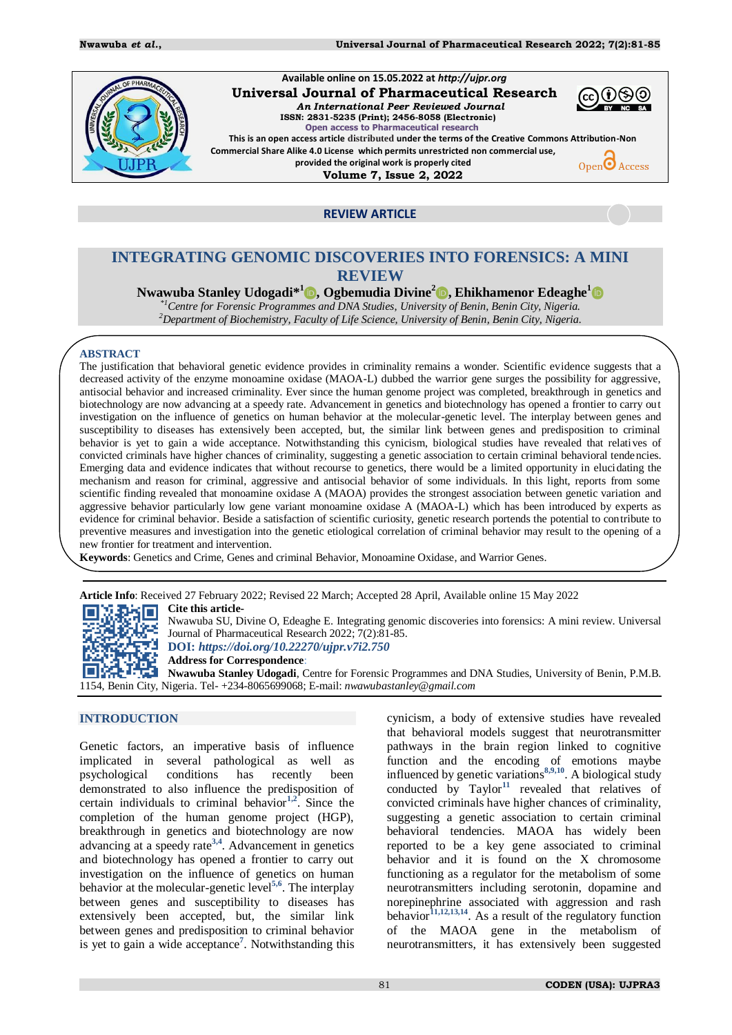

**REVIEW ARTICLE** 

# **INTEGRATING GENOMIC DISCOVERIES INTO FORENSICS: A MINI REVIEW**

## **Nwawuba Stanley Udogadi\* 1 , Ogbemudia Divine<sup>2</sup> , Ehikhamenor Edeaghe<sup>1</sup>**

*\*1Centre for Forensic Programmes and DNA Studies, University of Benin, Benin City, Nigeria. <sup>2</sup>Department of Biochemistry, Faculty of Life Science, University of Benin, Benin City, Nigeria.*

### **ABSTRACT**

The justification that behavioral genetic evidence provides in criminality remains a wonder. Scientific evidence suggests that a decreased activity of the enzyme monoamine oxidase (MAOA-L) dubbed the warrior gene surges the possibility for aggressive, antisocial behavior and increased criminality. Ever since the human genome project was completed, breakthrough in genetics and biotechnology are now advancing at a speedy rate. Advancement in genetics and biotechnology has opened a frontier to carry out investigation on the influence of genetics on human behavior at the molecular-genetic level. The interplay between genes and susceptibility to diseases has extensively been accepted, but, the similar link between genes and predisposition to criminal behavior is yet to gain a wide acceptance. Notwithstanding this cynicism, biological studies have revealed that relatives of convicted criminals have higher chances of criminality, suggesting a genetic association to certain criminal behavioral tendencies. Emerging data and evidence indicates that without recourse to genetics, there would be a limited opportunity in elucidating the mechanism and reason for criminal, aggressive and antisocial behavior of some individuals. In this light, reports from some scientific finding revealed that monoamine oxidase A (MAOA) provides the strongest association between genetic variation and aggressive behavior particularly low gene variant monoamine oxidase A (MAOA-L) which has been introduced by experts as evidence for criminal behavior. Beside a satisfaction of scientific curiosity, genetic research portends the potential to contribute to preventive measures and investigation into the genetic etiological correlation of criminal behavior may result to the opening of a new frontier for treatment and intervention.

**Keywords**: Genetics and Crime, Genes and criminal Behavior, Monoamine Oxidase, and Warrior Genes.

**Article Info**: Received 27 February 2022; Revised 22 March; Accepted 28 April, Available online 15 May 2022 **Cite this article-**XĐ≾⊡

Nwawuba SU, Divine O, Edeaghe E. Integrating genomic discoveries into forensics: A mini review. Universal Journal of Pharmaceutical Research 2022; 7(2):81-85.

**DOI:** *<https://doi.org/10.22270/ujpr.v7i2.750>*

**Address for Correspondence**:

**Nwawuba Stanley Udogadi**, Centre for Forensic Programmes and DNA Studies, University of Benin, P.M.B. 1154, Benin City, Nigeria. Tel- +234-8065699068; E-mail: *[nwawubastanley@gmail.com](mailto:nwawubastanley@gmail.com)*

## **INTRODUCTION**

Genetic factors, an imperative basis of influence implicated in several pathological as well as psychological conditions has recently been demonstrated to also influence the predisposition of certain individuals to criminal behavior**[1,](#page-3-0)[2](#page-3-1)** . Since the completion of the human genome project (HGP), breakthrough in genetics and biotechnology are now advancing at a speedy rate**[3,](#page-3-2)[4](#page-3-3)** . Advancement in genetics and biotechnology has opened a frontier to carry out investigation on the influence of genetics on human behavior at the molecular-genetic level**[5,](#page-3-4)[6](#page-3-5)** . The interplay between genes and susceptibility to diseases has extensively been accepted, but, the similar link between genes and predisposition to criminal behavior is yet to gain a wide acceptanc[e](#page-3-6)**<sup>7</sup>** . Notwithstanding this

cynicism, a body of extensive studies have revealed that behavioral models suggest that neurotransmitter pathways in the brain region linked to cognitive function and the encoding of emotions maybe influenced by genetic variation[s](#page-3-7)**[8,9,](#page-3-8)[10](#page-3-9)** . A biological study conducted by  $Taylor^{11}$  $Taylor^{11}$  $Taylor^{11}$  revealed that relatives of convicted criminals have higher chances of criminality, suggesting a genetic association to certain criminal behavioral tendencies. MAOA has widely been reported to be a key gene associated to criminal behavior and it is found on the X chromosome functioning as a regulator for the metabolism of some neurotransmitters including serotonin, dopamine and norepinephrine associated with aggression and rash behavior**[11](#page-3-10)[,12](#page-3-11)[,13,](#page-3-12)[14](#page-3-13)**. As a result of the regulatory function of the MAOA gene in the metabolism of neurotransmitters, it has extensively been suggested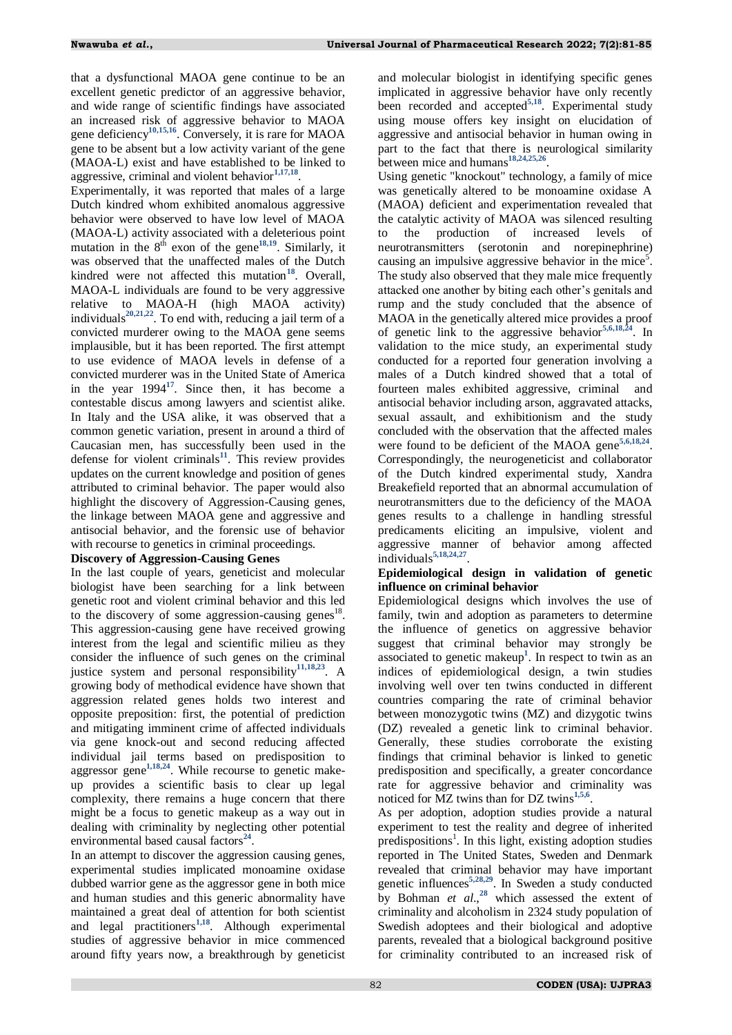that a dysfunctional MAOA gene continue to be an excellent genetic predictor of an aggressive behavior, and wide range of scientific findings have associated an increased risk of aggressive behavior to MAOA gene deficiency**[10,](#page-3-9)[15,](#page-3-14)[16](#page-3-15)**. Conversely, it is rare for MAOA gene to be absent but a low activity variant of the gene (MAOA-L) exist and have established to be linked to aggressive, criminal and violent behavior**[1](#page-3-0)[,17,](#page-3-16)[18](#page-4-0)** .

Experimentally, it was reported that males of a large Dutch kindred whom exhibited anomalous aggressive behavior were observed to have low level of MAOA (MAOA-L) activity associated with a deleterious point mutation in the  $8^{th}$  exon of the gene<sup>[18,](#page-4-0)[19](#page-4-1)</sup>. Similarly, it was observed that the unaffected males of the Dutch kindred were not affected this mutation<sup>[18](#page-4-0)</sup>. Overall, MAOA-L individuals are found to be very aggressive relative to MAOA-H (high MAOA activity) individuals<sup>[20,](#page-4-2)[21,](#page-4-3)[22](#page-4-4)</sup>. To end with, reducing a jail term of a convicted murderer owing to the MAOA gene seems implausible, but it has been reported. The first attempt to use evidence of MAOA levels in defense of a convicted murderer was in the United State of America in the year  $1994^{17}$  $1994^{17}$  $1994^{17}$ . Since then, it has become a contestable discus among lawyers and scientist alike. In Italy and the USA alike, it was observed that a common genetic variation, present in around a third of Caucasian men, has successfully been used in the defense for violent criminals $^{11}$  $^{11}$  $^{11}$ . This review provides updates on the current knowledge and position of genes attributed to criminal behavior. The paper would also highlight the discovery of Aggression-Causing genes, the linkage between MAOA gene and aggressive and antisocial behavior, and the forensic use of behavior with recourse to genetics in criminal proceedings.

### **Discovery of Aggression-Causing Genes**

In the last couple of years, geneticist and molecular biologist have been searching for a link between genetic root and violent criminal behavior and this led to the discovery of some aggression-causing genes<sup>18</sup>. This aggression-causing gene have received growing interest from the legal and scientific milieu as they consider the influence of such genes on the criminal justice system and personal responsibility**[11,](#page-3-10)[18](#page-4-0)[,23](#page-4-5)**. A growing body of methodical evidence have shown that aggression related genes holds two interest and opposite preposition: first, the potential of prediction and mitigating imminent crime of affected individuals via gene knock-out and second reducing affected individual jail terms based on predisposition to aggressor gene**[1,](#page-3-0)[18,](#page-4-0)[24](#page-4-6)**. While recourse to genetic makeup provides a scientific basis to clear up legal complexity, there remains a huge concern that there might be a focus to genetic makeup as a way out in dealing with criminality by neglecting other potential environmental based causal factors<sup>[24](#page-4-6)</sup>.

In an attempt to discover the aggression causing genes, experimental studies implicated monoamine oxidase dubbed warrior gene as the aggressor gene in both mice and human studies and this generic abnormality have maintained a great deal of attention for both scientist and legal practitioners**[1,](#page-3-0)[18](#page-4-0)**. Although experimental studies of aggressive behavior in mice commenced around fifty years now, a breakthrough by geneticist and molecular biologist in identifying specific genes implicated in aggressive behavior have only recently been recorded and accepted**[5](#page-3-4)[,18](#page-4-0)**. Experimental study using mouse offers key insight on elucidation of aggressive and antisocial behavior in human owing in part to the fact that there is neurological similarity between mice and humans**[18,](#page-4-0)[24,](#page-4-6)[25,](#page-4-7)[26](#page-4-8)** .

Using genetic "knockout" technology, a family of mice was genetically altered to be monoamine oxidase A (MAOA) deficient and experimentation revealed that the catalytic activity of MAOA was silenced resulting to the production of increased levels of neurotransmitters (serotonin and norepinephrine) causing an impulsive aggressive behavior in the mice<sup>5</sup>. The study also observed that they male mice frequently attacked one another by biting each other"s genitals and rump and the study concluded that the absence of MAOA in the genetically altered mice provides a proof of genetic link to the aggressive behavior**[5](#page-3-4)[,6](#page-3-5)[,18](#page-4-0)[,24](#page-4-6)**. In validation to the mice study, an experimental study conducted for a reported four generation involving a males of a Dutch kindred showed that a total of fourteen males exhibited aggressive, criminal and antisocial behavior including arson, aggravated attacks, sexual assault, and exhibitionism and the study concluded with the observation that the affected males were found to be deficient of the MAOA gen[e](#page-3-4)**[5,6,](#page-3-5)[18,](#page-4-0)[24](#page-4-6)** . Correspondingly, the neurogeneticist and collaborator of the Dutch kindred experimental study, Xandra Breakefield reported that an abnormal accumulation of neurotransmitters due to the deficiency of the MAOA genes results to a challenge in handling stressful predicaments eliciting an impulsive, violent and aggressive manner of behavior among affected individuals**[5,](#page-3-4)[18](#page-4-0)[,24,](#page-4-6)[27](#page-4-9)** .

### **Epidemiological design in validation of genetic influence on criminal behavior**

Epidemiological designs which involves the use of family, twin and adoption as parameters to determine the influence of genetics on aggressive behavior suggest that criminal behavior may strongly be associated to genetic makeu[p](#page-3-0)**<sup>1</sup>** . In respect to twin as an indices of epidemiological design, a twin studies involving well over ten twins conducted in different countries comparing the rate of criminal behavior between monozygotic twins (MZ) and dizygotic twins (DZ) revealed a genetic link to criminal behavior. Generally, these studies corroborate the existing findings that criminal behavior is linked to genetic predisposition and specifically, a greater concordance rate for aggressive behavior and criminality was noticed for MZ twins than for DZ twin[s](#page-3-0)**[1,5,](#page-3-4)[6](#page-3-5)** .

As per adoption, adoption studies provide a natural experiment to test the reality and degree of inherited predispositions<sup>1</sup>. In this light, existing adoption studies reported in The United States, Sweden and Denmark revealed that criminal behavior may have important genetic influences**[5,](#page-3-4)[28,](#page-4-10)[29](#page-4-11)**. In Sweden a study conducted by Bohman *et al.*,<sup>[28](#page-4-10)</sup> which assessed the extent of criminality and alcoholism in 2324 study population of Swedish adoptees and their biological and adoptive parents, revealed that a biological background positive for criminality contributed to an increased risk of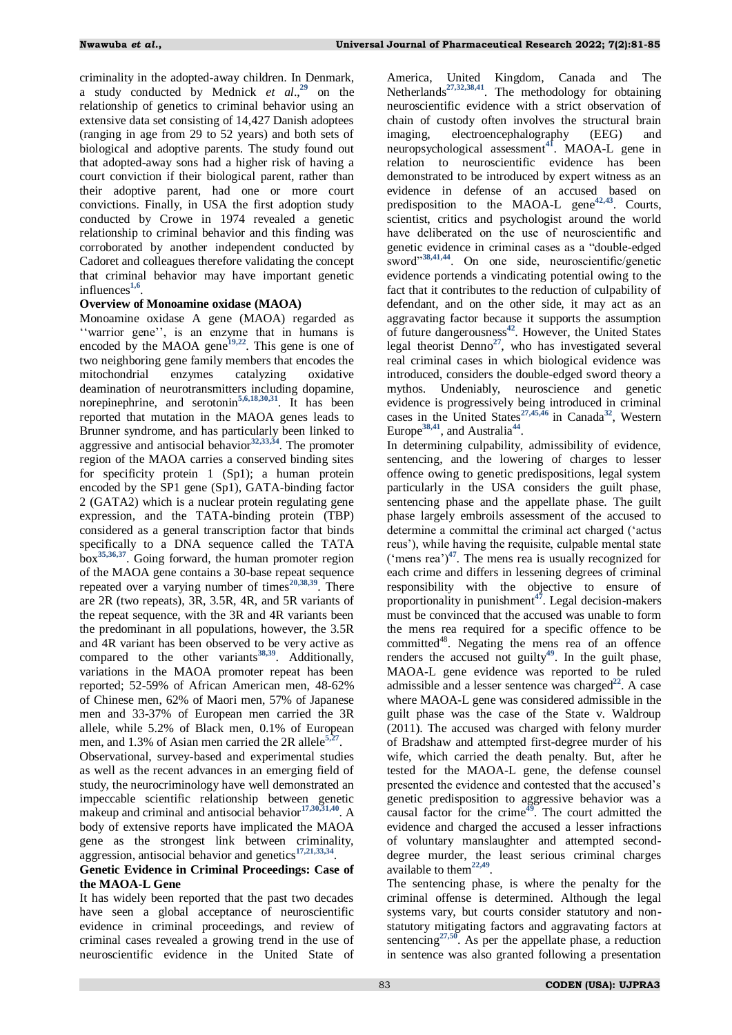criminality in the adopted-away children. In Denmark, a study conducted by Mednick *et al*., **[29](#page-4-11)** on the relationship of genetics to criminal behavior using an extensive data set consisting of 14,427 Danish adoptees (ranging in age from 29 to 52 years) and both sets of biological and adoptive parents. The study found out that adopted-away sons had a higher risk of having a court conviction if their biological parent, rather than their adoptive parent, had one or more court convictions. Finally, in USA the first adoption study conducted by Crowe in 1974 revealed a genetic relationship to criminal behavior and this finding was corroborated by another independent conducted by Cadoret and colleagues therefore validating the concept that criminal behavior may have important genetic influences**[1,](#page-3-0)[6](#page-3-5)** .

### **Overview of Monoamine oxidase (MAOA)**

Monoamine oxidase A gene (MAOA) regarded as "warrior gene", is an enzyme that in humans is encoded by the MAOA gene<sup>[19,](#page-4-1)[22](#page-4-4)</sup>. This gene is one of two neighboring gene family members that encodes the mitochondrial enzymes catalyzing oxidative deamination of neurotransmitters including dopamine, norepinephrine, and serotonin**[5,](#page-3-4)[6,](#page-3-5)[18,](#page-4-0)[30,](#page-4-12)[31](#page-4-13)**. It has been reported that mutation in the MAOA genes leads to Brunner syndrome, and has particularly been linked to aggressive and antisocial behavior**[32,](#page-4-14)[33,](#page-4-15)[34](#page-4-16)**. The promoter region of the MAOA carries a conserved binding sites for specificity protein 1 (Sp1); a human protein encoded by the SP1 gene (Sp1), GATA-binding factor 2 (GATA2) which is a nuclear protein regulating gene expression, and the TATA-binding protein (TBP) considered as a general transcription factor that binds specifically to a DNA sequence called the TATA box**[35,](#page-4-17)[36,](#page-4-18)[37](#page-4-19)**. Going forward, the human promoter region of the MAOA gene contains a 30-base repeat sequence repeated over a varying number of times**[20,](#page-4-2)[38](#page-4-20)[,39](#page-4-21)**. There are 2R (two repeats), 3R, 3.5R, 4R, and 5R variants of the repeat sequence, with the 3R and 4R variants been the predominant in all populations, however, the 3.5R and 4R variant has been observed to be very active as compared to the other variants**[38,](#page-4-20)[39](#page-4-21)**. Additionally, variations in the MAOA promoter repeat has been reported; 52-59% of African American men, 48-62% of Chinese men, 62% of Maori men, 57% of Japanese men and 33-37% of European men carried the 3R allele, while 5.2% of Black men, 0.1% of European men, and 1.3% of Asian men carried the 2R allele<sup>[5,](#page-3-4)[27](#page-4-9)</sup>.

Observational, survey-based and experimental studies as well as the recent advances in an emerging field of study, the neurocriminology have well demonstrated an impeccable scientific relationship between genetic makeup and criminal and antisocial behavior**[17,](#page-3-16)[30,](#page-4-12)[31,](#page-4-13)[40](#page-4-22)** . A body of extensive reports have implicated the MAOA gene as the strongest link between criminality, aggression, antisocial behavior and genetics**[17,](#page-3-16)[21](#page-4-3)[,33,](#page-4-15)[34](#page-4-16)** .

### **Genetic Evidence in Criminal Proceedings: Case of the MAOA-L Gene**

It has widely been reported that the past two decades have seen a global acceptance of neuroscientific evidence in criminal proceedings, and review of criminal cases revealed a growing trend in the use of neuroscientific evidence in the United State of

America, United Kingdom, Canada and The Netherlands**[27,](#page-4-9)[32,](#page-4-14)[38,](#page-4-20)[41](#page-4-23)**. The methodology for obtaining neuroscientific evidence with a strict observation of chain of custody often involves the structural brain imaging, electroencephalography (EEG) and neuropsychological assessment**[41](#page-4-23)**. MAOA-L gene in relation to neuroscientific evidence has been demonstrated to be introduced by expert witness as an evidence in defense of an accused based on predisposition to the MAOA-L gene**[42,](#page-4-24)[43](#page-4-25)** . Courts, scientist, critics and psychologist around the world have deliberated on the use of neuroscientific and genetic evidence in criminal cases as a "double-edged sword"<sup>[38,](#page-4-20)[41](#page-4-23)[,44](#page-4-26)</sup>. On one side, neuroscientific/genetic evidence portends a vindicating potential owing to the fact that it contributes to the reduction of culpability of defendant, and on the other side, it may act as an aggravating factor because it supports the assumption of future dangerousness**[42](#page-4-24)**. However, the United States legal theorist Denno<sup>[27](#page-4-9)</sup>, who has investigated several real criminal cases in which biological evidence was introduced, considers the double-edged sword theory a mythos. Undeniably, neuroscience and genetic evidence is progressively being introduced in criminal cases in the United States**[27,](#page-4-9)[45](#page-4-27)[,46](#page-4-28)** in Canada **[32](#page-4-14)**, Western Europe<sup>[38,](#page-4-20)[41](#page-4-23)</sup>, and Australia<sup>[44](#page-4-26)</sup>.

In determining culpability, admissibility of evidence, sentencing, and the lowering of charges to lesser offence owing to genetic predispositions, legal system particularly in the USA considers the guilt phase, sentencing phase and the appellate phase. The guilt phase largely embroils assessment of the accused to determine a committal the criminal act charged ("actus reus"), while having the requisite, culpable mental state ('mens rea')<sup> $47$ </sup>. The mens rea is usually recognized for each crime and differs in lessening degrees of criminal responsibility with the objective to ensure of proportionality in punishment**[47](#page-4-29)** . Legal decision-makers must be convinced that the accused was unable to form the mens rea required for a specific offence to be committed<sup>48</sup>. Negating the mens rea of an offence renders the accused not guilty**[49](#page-4-30)**. In the guilt phase, MAOA-L gene evidence was reported to be ruled admissible and a lesser sentence was charged<sup>[22](#page-4-4)</sup>. A case where MAOA-L gene was considered admissible in the guilt phase was the case of the State v. Waldroup (2011). The accused was charged with felony murder of Bradshaw and attempted first-degree murder of his wife, which carried the death penalty. But, after he tested for the MAOA-L gene, the defense counsel presented the evidence and contested that the accused"s genetic predisposition to aggressive behavior was a causal factor for the crime**[49](#page-4-30)**. The court admitted the evidence and charged the accused a lesser infractions of voluntary manslaughter and attempted seconddegree murder, the least serious criminal charges available to them**[22](#page-4-4)[,49](#page-4-30)** .

The sentencing phase, is where the penalty for the criminal offense is determined. Although the legal systems vary, but courts consider statutory and nonstatutory mitigating factors and aggravating factors at sentencing<sup>[27,](#page-4-9)[50](#page-4-31)</sup>. As per the appellate phase, a reduction in sentence was also granted following a presentation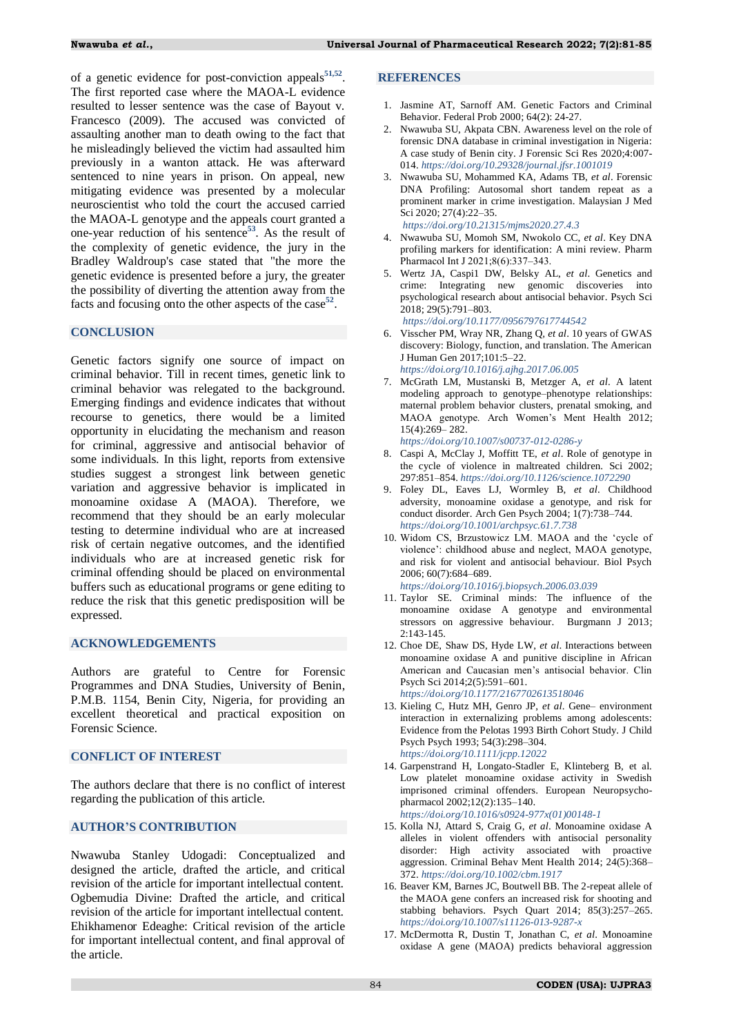of a genetic evidence for post-conviction appeals**[51,](#page-4-32)[52](#page-4-33)** . The first reported case where the MAOA-L evidence resulted to lesser sentence was the case of Bayout v. Francesco (2009). The accused was convicted of assaulting another man to death owing to the fact that he misleadingly believed the victim had assaulted him previously in a wanton attack. He was afterward sentenced to nine years in prison. On appeal, new mitigating evidence was presented by a molecular neuroscientist who told the court the accused carried the MAOA-L genotype and the appeals court granted a one-year reduction of his sentence**[53](#page-4-34)**. As the result of the complexity of genetic evidence, the jury in the Bradley Waldroup's case stated that "the more the genetic evidence is presented before a jury, the greater the possibility of diverting the attention away from the facts and focusing onto the other aspects of the case<sup>[52](#page-4-33)</sup>.

### **CONCLUSION**

Genetic factors signify one source of impact on criminal behavior. Till in recent times, genetic link to criminal behavior was relegated to the background. Emerging findings and evidence indicates that without recourse to genetics, there would be a limited opportunity in elucidating the mechanism and reason for criminal, aggressive and antisocial behavior of some individuals. In this light, reports from extensive studies suggest a strongest link between genetic variation and aggressive behavior is implicated in monoamine oxidase A (MAOA). Therefore, we recommend that they should be an early molecular testing to determine individual who are at increased risk of certain negative outcomes, and the identified individuals who are at increased genetic risk for criminal offending should be placed on environmental buffers such as educational programs or gene editing to reduce the risk that this genetic predisposition will be expressed.

### **ACKNOWLEDGEMENTS**

Authors are grateful to Centre for Forensic Programmes and DNA Studies, University of Benin, P.M.B. 1154, Benin City, Nigeria, for providing an excellent theoretical and practical exposition on Forensic Science.

### **CONFLICT OF INTEREST**

The authors declare that there is no conflict of interest regarding the publication of this article.

#### **AUTHOR'S CONTRIBUTION**

Nwawuba Stanley Udogadi: Conceptualized and designed the article, drafted the article, and critical revision of the article for important intellectual content. Ogbemudia Divine: Drafted the article, and critical revision of the article for important intellectual content. Ehikhamenor Edeaghe: Critical revision of the article for important intellectual content, and final approval of the article.

#### **REFERENCES**

- <span id="page-3-0"></span>1. Jasmine AT, Sarnoff AM. Genetic Factors and Criminal Behavior. Federal Prob 2000; 64(2): 24-27.
- <span id="page-3-1"></span>2. Nwawuba SU, Akpata CBN. Awareness level on the role of forensic DNA database in criminal investigation in Nigeria: A case study of Benin city. J Forensic Sci Res 2020;4:007- 014. *<https://doi.org/10.29328/journal.jfsr.1001019>*
- <span id="page-3-2"></span>3. Nwawuba SU, Mohammed KA, Adams TB, *et al*. Forensic DNA Profiling: Autosomal short tandem repeat as a prominent marker in crime investigation. Malaysian J Med Sci 2020; 27(4):22–35. *<https://doi.org/10.21315/mjms2020.27.4.3>*
- <span id="page-3-3"></span>4. Nwawuba SU, Momoh SM, Nwokolo CC, *et al*. Key DNA profiling markers for identification: A mini review. Pharm Pharmacol Int J 2021;8(6):337-343.
- <span id="page-3-4"></span>5. Wertz JA, Caspi1 DW, Belsky AL, *et al*. Genetics and crime: Integrating new genomic discoveries into psychological research about antisocial behavior. Psych Sci 2018; 29(5):791–803.
	- *<https://doi.org/10.1177/0956797617744542>*
- <span id="page-3-5"></span>6. Visscher PM, Wray NR, Zhang Q, *et al*. 10 years of GWAS discovery: Biology, function, and translation. The American J Human Gen 2017;101:5–22. *<https://doi.org/10.1016/j.ajhg.2017.06.005>*
- <span id="page-3-6"></span>7. McGrath LM, Mustanski B, Metzger A, *et al*. A latent modeling approach to genotype–phenotype relationships: maternal problem behavior clusters, prenatal smoking, and MAOA genotype. Arch Women"s Ment Health 2012; 15(4):269– 282.
	- *<https://doi.org/10.1007/s00737-012-0286-y>*
- <span id="page-3-7"></span>8. Caspi A, McClay J, Moffitt TE, *et al*. Role of genotype in the cycle of violence in maltreated children. Sci 2002; 297:851–854. *<https://doi.org/10.1126/science.1072290>*
- <span id="page-3-8"></span>9. Foley DL, Eaves LJ, Wormley B, *et al*. Childhood adversity, monoamine oxidase a genotype, and risk for conduct disorder. Arch Gen Psych 2004; 1(7):738–744. *<https://doi.org/10.1001/archpsyc.61.7.738>*
- <span id="page-3-9"></span>10. Widom CS, Brzustowicz LM. MAOA and the "cycle of violence": childhood abuse and neglect, MAOA genotype, and risk for violent and antisocial behaviour. Biol Psych 2006; 60(7):684–689.
	- *<https://doi.org/10.1016/j.biopsych.2006.03.039>*
- <span id="page-3-10"></span>11. Taylor SE. Criminal minds: The influence of the monoamine oxidase A genotype and environmental stressors on aggressive behaviour. Burgmann J 2013; 2:143-145.
- <span id="page-3-11"></span>12. Choe DE, Shaw DS, Hyde LW, *et al*. Interactions between monoamine oxidase A and punitive discipline in African American and Caucasian men"s antisocial behavior. Clin Psych Sci 2014;2(5):591–601. *<https://doi.org/10.1177/2167702613518046>*
- <span id="page-3-12"></span>13. Kieling C, Hutz MH, Genro JP, *et al*. Gene– environment interaction in externalizing problems among adolescents: Evidence from the Pelotas 1993 Birth Cohort Study. J Child Psych Psych 1993; 54(3):298–304. *<https://doi.org/10.1111/jcpp.12022>*
- <span id="page-3-13"></span>14. Garpenstrand H, Longato-Stadler E, Klinteberg B, et al. Low platelet monoamine oxidase activity in Swedish imprisoned criminal offenders. European Neuropsychopharmacol 2002;12(2):135–140. *[https://doi.org/10.1016/s0924-977x\(01\)00148-1](https://doi.org/10.1016/s0924-977x(01)00148-1)*
- <span id="page-3-14"></span>15. Kolla NJ, Attard S, Craig G, *et al*. Monoamine oxidase A alleles in violent offenders with antisocial personality disorder: High activity associated with proactive aggression. Criminal Behav Ment Health 2014; 24(5):368– 372. *<https://doi.org/10.1002/cbm.1917>*
- <span id="page-3-15"></span>16. Beaver KM, Barnes JC, Boutwell BB. The 2-repeat allele of the MAOA gene confers an increased risk for shooting and stabbing behaviors. Psych Quart 2014; 85(3):257–265. *<https://doi.org/10.1007/s11126-013-9287-x>*
- <span id="page-3-16"></span>17. McDermotta R, Dustin T, Jonathan C, *et al*. Monoamine oxidase A gene (MAOA) predicts behavioral aggression